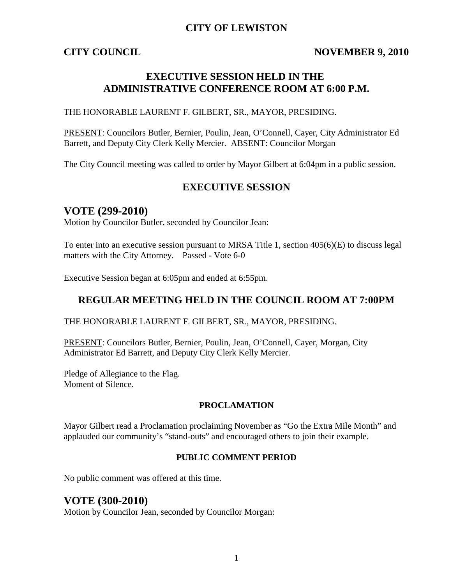## **CITY OF LEWISTON**

## **CITY COUNCIL NOVEMBER 9, 2010**

## **EXECUTIVE SESSION HELD IN THE ADMINISTRATIVE CONFERENCE ROOM AT 6:00 P.M.**

THE HONORABLE LAURENT F. GILBERT, SR., MAYOR, PRESIDING.

PRESENT: Councilors Butler, Bernier, Poulin, Jean, O'Connell, Cayer, City Administrator Ed Barrett, and Deputy City Clerk Kelly Mercier. ABSENT: Councilor Morgan

The City Council meeting was called to order by Mayor Gilbert at 6:04pm in a public session.

#### **EXECUTIVE SESSION**

### **VOTE (299-2010)**

Motion by Councilor Butler, seconded by Councilor Jean:

To enter into an executive session pursuant to MRSA Title 1, section 405(6)(E) to discuss legal matters with the City Attorney. Passed - Vote 6-0

Executive Session began at 6:05pm and ended at 6:55pm.

## **REGULAR MEETING HELD IN THE COUNCIL ROOM AT 7:00PM**

#### THE HONORABLE LAURENT F. GILBERT, SR., MAYOR, PRESIDING.

PRESENT: Councilors Butler, Bernier, Poulin, Jean, O'Connell, Cayer, Morgan, City Administrator Ed Barrett, and Deputy City Clerk Kelly Mercier.

Pledge of Allegiance to the Flag. Moment of Silence.

#### **PROCLAMATION**

Mayor Gilbert read a Proclamation proclaiming November as "Go the Extra Mile Month" and applauded our community's "stand-outs" and encouraged others to join their example.

#### **PUBLIC COMMENT PERIOD**

No public comment was offered at this time.

### **VOTE (300-2010)**

Motion by Councilor Jean, seconded by Councilor Morgan: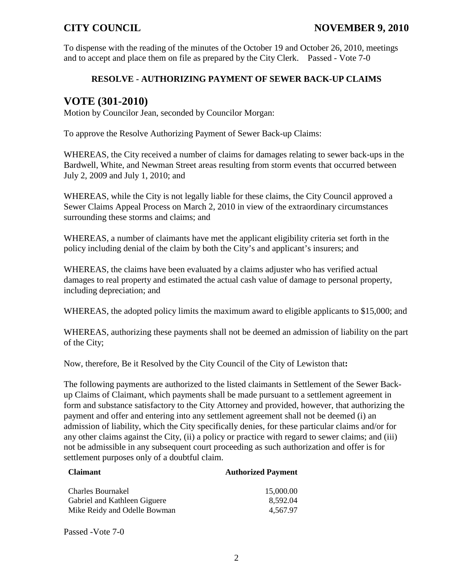To dispense with the reading of the minutes of the October 19 and October 26, 2010, meetings and to accept and place them on file as prepared by the City Clerk. Passed - Vote 7-0

### **RESOLVE - AUTHORIZING PAYMENT OF SEWER BACK-UP CLAIMS**

## **VOTE (301-2010)**

Motion by Councilor Jean, seconded by Councilor Morgan:

To approve the Resolve Authorizing Payment of Sewer Back-up Claims:

WHEREAS, the City received a number of claims for damages relating to sewer back-ups in the Bardwell, White, and Newman Street areas resulting from storm events that occurred between July 2, 2009 and July 1, 2010; and

WHEREAS, while the City is not legally liable for these claims, the City Council approved a Sewer Claims Appeal Process on March 2, 2010 in view of the extraordinary circumstances surrounding these storms and claims; and

WHEREAS, a number of claimants have met the applicant eligibility criteria set forth in the policy including denial of the claim by both the City's and applicant's insurers; and

WHEREAS, the claims have been evaluated by a claims adjuster who has verified actual damages to real property and estimated the actual cash value of damage to personal property, including depreciation; and

WHEREAS, the adopted policy limits the maximum award to eligible applicants to \$15,000; and

WHEREAS, authorizing these payments shall not be deemed an admission of liability on the part of the City;

Now, therefore, Be it Resolved by the City Council of the City of Lewiston that**:**

The following payments are authorized to the listed claimants in Settlement of the Sewer Backup Claims of Claimant, which payments shall be made pursuant to a settlement agreement in form and substance satisfactory to the City Attorney and provided, however, that authorizing the payment and offer and entering into any settlement agreement shall not be deemed (i) an admission of liability, which the City specifically denies, for these particular claims and/or for any other claims against the City, (ii) a policy or practice with regard to sewer claims; and (iii) not be admissible in any subsequent court proceeding as such authorization and offer is for settlement purposes only of a doubtful claim.

| <b>Claimant</b>                                   | <b>Authorized Payment</b> |
|---------------------------------------------------|---------------------------|
| Charles Bournakel<br>Gabriel and Kathleen Giguere | 15,000.00<br>8.592.04     |
| Mike Reidy and Odelle Bowman                      | 4.567.97                  |

Passed -Vote 7-0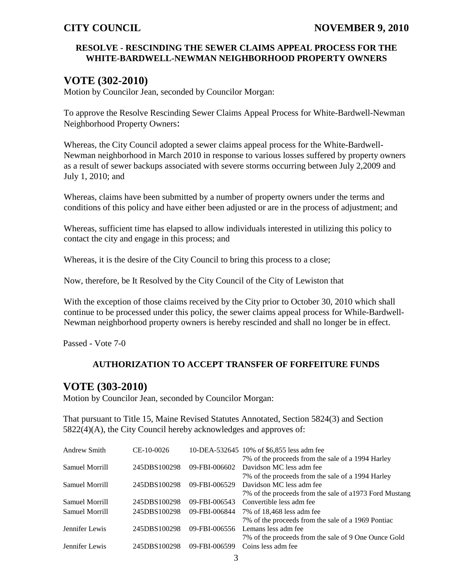### **RESOLVE - RESCINDING THE SEWER CLAIMS APPEAL PROCESS FOR THE WHITE-BARDWELL-NEWMAN NEIGHBORHOOD PROPERTY OWNERS**

## **VOTE (302-2010)**

Motion by Councilor Jean, seconded by Councilor Morgan:

To approve the Resolve Rescinding Sewer Claims Appeal Process for White-Bardwell-Newman Neighborhood Property Owners:

Whereas, the City Council adopted a sewer claims appeal process for the White-Bardwell-Newman neighborhood in March 2010 in response to various losses suffered by property owners as a result of sewer backups associated with severe storms occurring between July 2,2009 and July 1, 2010; and

Whereas, claims have been submitted by a number of property owners under the terms and conditions of this policy and have either been adjusted or are in the process of adjustment; and

Whereas, sufficient time has elapsed to allow individuals interested in utilizing this policy to contact the city and engage in this process; and

Whereas, it is the desire of the City Council to bring this process to a close;

Now, therefore, be It Resolved by the City Council of the City of Lewiston that

With the exception of those claims received by the City prior to October 30, 2010 which shall continue to be processed under this policy, the sewer claims appeal process for While-Bardwell-Newman neighborhood property owners is hereby rescinded and shall no longer be in effect.

Passed - Vote 7-0

#### **AUTHORIZATION TO ACCEPT TRANSFER OF FORFEITURE FUNDS**

## **VOTE (303-2010)**

Motion by Councilor Jean, seconded by Councilor Morgan:

That pursuant to Title 15, Maine Revised Statutes Annotated, Section 5824(3) and Section 5822(4)(A), the City Council hereby acknowledges and approves of:

| <b>Andrew Smith</b> | CE-10-0026   |               | 10-DEA-532645 10% of \$6,855 less adm fee              |
|---------------------|--------------|---------------|--------------------------------------------------------|
|                     |              |               | 7% of the proceeds from the sale of a 1994 Harley      |
| Samuel Morrill      | 245DBS100298 | 09-FBI-006602 | Davidson MC less adm fee                               |
|                     |              |               | 7% of the proceeds from the sale of a 1994 Harley      |
| Samuel Morrill      | 245DBS100298 | 09-FBI-006529 | Davidson MC less adm fee                               |
|                     |              |               | 7% of the proceeds from the sale of a1973 Ford Mustang |
| Samuel Morrill      | 245DBS100298 | 09-FBI-006543 | Convertible less adm fee                               |
| Samuel Morrill      | 245DBS100298 | 09-FBI-006844 | 7% of 18,468 less adm fee                              |
|                     |              |               | 7% of the proceeds from the sale of a 1969 Pontiac     |
| Jennifer Lewis      | 245DBS100298 | 09-FBI-006556 | Lemans less adm fee                                    |
|                     |              |               | 7% of the proceeds from the sale of 9 One Ounce Gold   |
| Jennifer Lewis      | 245DBS100298 | 09-FBI-006599 | Coins less adm fee                                     |
|                     |              |               |                                                        |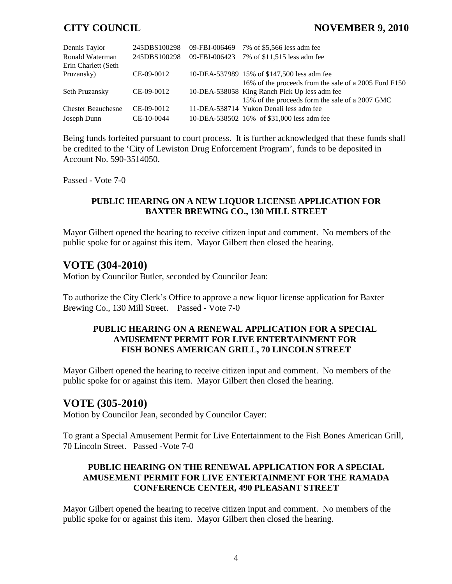## **CITY COUNCIL NOVEMBER 9, 2010**

| Dennis Taylor             | 245DBS100298 |               | 09-FBI-006469 7% of \$5,566 less adm fee              |
|---------------------------|--------------|---------------|-------------------------------------------------------|
| Ronald Waterman           | 245DBS100298 | 09-FBI-006423 | 7% of \$11,515 less adm fee                           |
| Erin Charlett (Seth       |              |               |                                                       |
| Pruzansky)                | CE-09-0012   |               | 10-DEA-537989 15% of \$147,500 less adm fee           |
|                           |              |               | 16% of the proceeds from the sale of a 2005 Ford F150 |
| Seth Pruzansky            | CE-09-0012   |               | 10-DEA-538058 King Ranch Pick Up less adm fee         |
|                           |              |               | 15% of the proceeds form the sale of a 2007 GMC       |
| <b>Chester Beauchesne</b> | $CE-09-0012$ |               | 11-DEA-538714 Yukon Denali less adm fee               |
| Joseph Dunn               | CE-10-0044   |               | 10-DEA-538502 16% of \$31,000 less adm fee            |

Being funds forfeited pursuant to court process. It is further acknowledged that these funds shall be credited to the 'City of Lewiston Drug Enforcement Program', funds to be deposited in Account No. 590-3514050.

Passed - Vote 7-0

### **PUBLIC HEARING ON A NEW LIQUOR LICENSE APPLICATION FOR BAXTER BREWING CO., 130 MILL STREET**

Mayor Gilbert opened the hearing to receive citizen input and comment. No members of the public spoke for or against this item. Mayor Gilbert then closed the hearing.

## **VOTE (304-2010)**

Motion by Councilor Butler, seconded by Councilor Jean:

To authorize the City Clerk's Office to approve a new liquor license application for Baxter Brewing Co., 130 Mill Street. Passed - Vote 7-0

### **PUBLIC HEARING ON A RENEWAL APPLICATION FOR A SPECIAL AMUSEMENT PERMIT FOR LIVE ENTERTAINMENT FOR FISH BONES AMERICAN GRILL, 70 LINCOLN STREET**

Mayor Gilbert opened the hearing to receive citizen input and comment. No members of the public spoke for or against this item. Mayor Gilbert then closed the hearing.

## **VOTE (305-2010)**

Motion by Councilor Jean, seconded by Councilor Cayer:

To grant a Special Amusement Permit for Live Entertainment to the Fish Bones American Grill, 70 Lincoln Street. Passed -Vote 7-0

### **PUBLIC HEARING ON THE RENEWAL APPLICATION FOR A SPECIAL AMUSEMENT PERMIT FOR LIVE ENTERTAINMENT FOR THE RAMADA CONFERENCE CENTER, 490 PLEASANT STREET**

Mayor Gilbert opened the hearing to receive citizen input and comment. No members of the public spoke for or against this item. Mayor Gilbert then closed the hearing.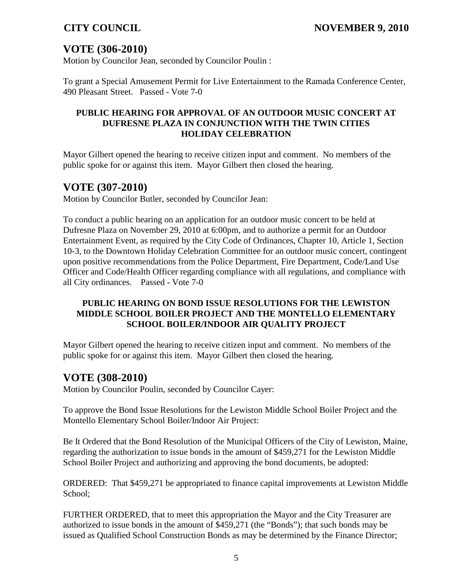# **VOTE (306-2010)**

Motion by Councilor Jean, seconded by Councilor Poulin :

To grant a Special Amusement Permit for Live Entertainment to the Ramada Conference Center, 490 Pleasant Street. Passed - Vote 7-0

### **PUBLIC HEARING FOR APPROVAL OF AN OUTDOOR MUSIC CONCERT AT DUFRESNE PLAZA IN CONJUNCTION WITH THE TWIN CITIES HOLIDAY CELEBRATION**

Mayor Gilbert opened the hearing to receive citizen input and comment. No members of the public spoke for or against this item. Mayor Gilbert then closed the hearing.

## **VOTE (307-2010)**

Motion by Councilor Butler, seconded by Councilor Jean:

To conduct a public hearing on an application for an outdoor music concert to be held at Dufresne Plaza on November 29, 2010 at 6:00pm, and to authorize a permit for an Outdoor Entertainment Event, as required by the City Code of Ordinances, Chapter 10, Article 1, Section 10-3, to the Downtown Holiday Celebration Committee for an outdoor music concert, contingent upon positive recommendations from the Police Department, Fire Department, Code/Land Use Officer and Code/Health Officer regarding compliance with all regulations, and compliance with all City ordinances. Passed - Vote 7-0

### **PUBLIC HEARING ON BOND ISSUE RESOLUTIONS FOR THE LEWISTON MIDDLE SCHOOL BOILER PROJECT AND THE MONTELLO ELEMENTARY SCHOOL BOILER/INDOOR AIR QUALITY PROJECT**

Mayor Gilbert opened the hearing to receive citizen input and comment. No members of the public spoke for or against this item. Mayor Gilbert then closed the hearing.

## **VOTE (308-2010)**

Motion by Councilor Poulin, seconded by Councilor Cayer:

To approve the Bond Issue Resolutions for the Lewiston Middle School Boiler Project and the Montello Elementary School Boiler/Indoor Air Project:

Be It Ordered that the Bond Resolution of the Municipal Officers of the City of Lewiston, Maine, regarding the authorization to issue bonds in the amount of \$459,271 for the Lewiston Middle School Boiler Project and authorizing and approving the bond documents, be adopted:

ORDERED: That \$459,271 be appropriated to finance capital improvements at Lewiston Middle School;

FURTHER ORDERED, that to meet this appropriation the Mayor and the City Treasurer are authorized to issue bonds in the amount of \$459,271 (the "Bonds"); that such bonds may be issued as Qualified School Construction Bonds as may be determined by the Finance Director;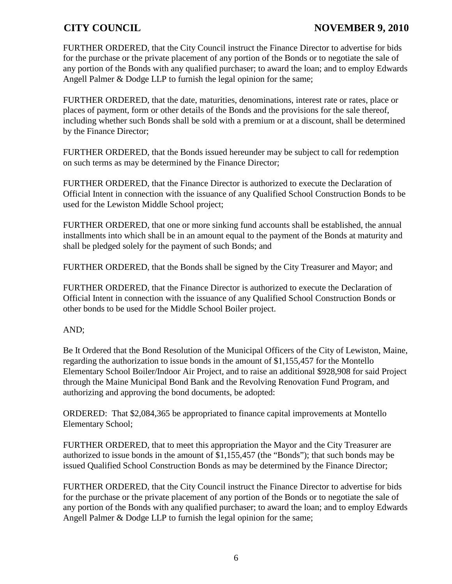FURTHER ORDERED, that the City Council instruct the Finance Director to advertise for bids for the purchase or the private placement of any portion of the Bonds or to negotiate the sale of any portion of the Bonds with any qualified purchaser; to award the loan; and to employ Edwards Angell Palmer & Dodge LLP to furnish the legal opinion for the same;

FURTHER ORDERED, that the date, maturities, denominations, interest rate or rates, place or places of payment, form or other details of the Bonds and the provisions for the sale thereof, including whether such Bonds shall be sold with a premium or at a discount, shall be determined by the Finance Director;

FURTHER ORDERED, that the Bonds issued hereunder may be subject to call for redemption on such terms as may be determined by the Finance Director;

FURTHER ORDERED, that the Finance Director is authorized to execute the Declaration of Official Intent in connection with the issuance of any Qualified School Construction Bonds to be used for the Lewiston Middle School project;

FURTHER ORDERED, that one or more sinking fund accounts shall be established, the annual installments into which shall be in an amount equal to the payment of the Bonds at maturity and shall be pledged solely for the payment of such Bonds; and

FURTHER ORDERED, that the Bonds shall be signed by the City Treasurer and Mayor; and

FURTHER ORDERED, that the Finance Director is authorized to execute the Declaration of Official Intent in connection with the issuance of any Qualified School Construction Bonds or other bonds to be used for the Middle School Boiler project.

### AND;

Be It Ordered that the Bond Resolution of the Municipal Officers of the City of Lewiston, Maine, regarding the authorization to issue bonds in the amount of \$1,155,457 for the Montello Elementary School Boiler/Indoor Air Project, and to raise an additional \$928,908 for said Project through the Maine Municipal Bond Bank and the Revolving Renovation Fund Program, and authorizing and approving the bond documents, be adopted:

ORDERED: That \$2,084,365 be appropriated to finance capital improvements at Montello Elementary School;

FURTHER ORDERED, that to meet this appropriation the Mayor and the City Treasurer are authorized to issue bonds in the amount of \$1,155,457 (the "Bonds"); that such bonds may be issued Qualified School Construction Bonds as may be determined by the Finance Director;

FURTHER ORDERED, that the City Council instruct the Finance Director to advertise for bids for the purchase or the private placement of any portion of the Bonds or to negotiate the sale of any portion of the Bonds with any qualified purchaser; to award the loan; and to employ Edwards Angell Palmer & Dodge LLP to furnish the legal opinion for the same;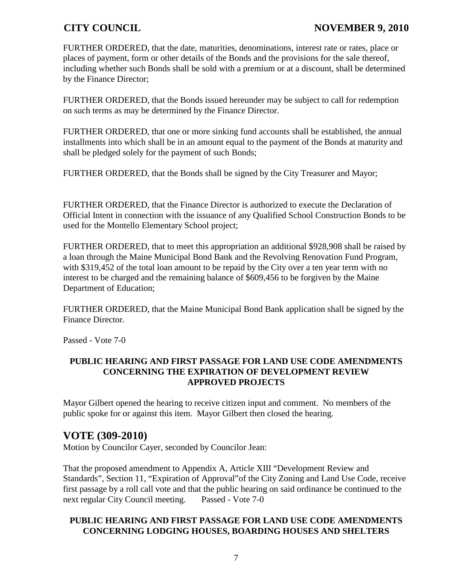FURTHER ORDERED, that the date, maturities, denominations, interest rate or rates, place or places of payment, form or other details of the Bonds and the provisions for the sale thereof, including whether such Bonds shall be sold with a premium or at a discount, shall be determined by the Finance Director;

FURTHER ORDERED, that the Bonds issued hereunder may be subject to call for redemption on such terms as may be determined by the Finance Director.

FURTHER ORDERED, that one or more sinking fund accounts shall be established, the annual installments into which shall be in an amount equal to the payment of the Bonds at maturity and shall be pledged solely for the payment of such Bonds;

FURTHER ORDERED, that the Bonds shall be signed by the City Treasurer and Mayor;

FURTHER ORDERED, that the Finance Director is authorized to execute the Declaration of Official Intent in connection with the issuance of any Qualified School Construction Bonds to be used for the Montello Elementary School project;

FURTHER ORDERED, that to meet this appropriation an additional \$928,908 shall be raised by a loan through the Maine Municipal Bond Bank and the Revolving Renovation Fund Program, with \$319,452 of the total loan amount to be repaid by the City over a ten year term with no interest to be charged and the remaining balance of \$609,456 to be forgiven by the Maine Department of Education;

FURTHER ORDERED, that the Maine Municipal Bond Bank application shall be signed by the Finance Director.

Passed - Vote 7-0

### **PUBLIC HEARING AND FIRST PASSAGE FOR LAND USE CODE AMENDMENTS CONCERNING THE EXPIRATION OF DEVELOPMENT REVIEW APPROVED PROJECTS**

Mayor Gilbert opened the hearing to receive citizen input and comment. No members of the public spoke for or against this item. Mayor Gilbert then closed the hearing.

## **VOTE (309-2010)**

Motion by Councilor Cayer, seconded by Councilor Jean:

That the proposed amendment to Appendix A, Article XIII "Development Review and Standards", Section 11, "Expiration of Approval"of the City Zoning and Land Use Code, receive first passage by a roll call vote and that the public hearing on said ordinance be continued to the next regular City Council meeting. Passed - Vote 7-0

#### **PUBLIC HEARING AND FIRST PASSAGE FOR LAND USE CODE AMENDMENTS CONCERNING LODGING HOUSES, BOARDING HOUSES AND SHELTERS**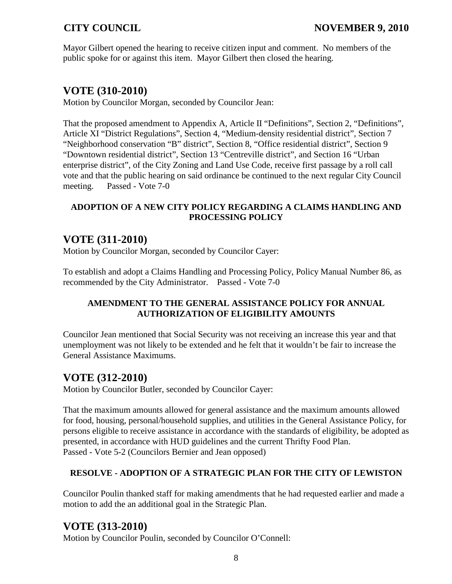Mayor Gilbert opened the hearing to receive citizen input and comment. No members of the public spoke for or against this item. Mayor Gilbert then closed the hearing.

## **VOTE (310-2010)**

Motion by Councilor Morgan, seconded by Councilor Jean:

That the proposed amendment to Appendix A, Article II "Definitions", Section 2, "Definitions", Article XI "District Regulations", Section 4, "Medium-density residential district", Section 7 "Neighborhood conservation "B" district", Section 8, "Office residential district", Section 9 "Downtown residential district", Section 13 "Centreville district", and Section 16 "Urban enterprise district", of the City Zoning and Land Use Code, receive first passage by a roll call vote and that the public hearing on said ordinance be continued to the next regular City Council meeting. Passed - Vote 7-0

## **ADOPTION OF A NEW CITY POLICY REGARDING A CLAIMS HANDLING AND PROCESSING POLICY**

# **VOTE (311-2010)**

Motion by Councilor Morgan, seconded by Councilor Cayer:

To establish and adopt a Claims Handling and Processing Policy, Policy Manual Number 86, as recommended by the City Administrator. Passed - Vote 7-0

## **AMENDMENT TO THE GENERAL ASSISTANCE POLICY FOR ANNUAL AUTHORIZATION OF ELIGIBILITY AMOUNTS**

Councilor Jean mentioned that Social Security was not receiving an increase this year and that unemployment was not likely to be extended and he felt that it wouldn't be fair to increase the General Assistance Maximums.

# **VOTE (312-2010)**

Motion by Councilor Butler, seconded by Councilor Cayer:

That the maximum amounts allowed for general assistance and the maximum amounts allowed for food, housing, personal/household supplies, and utilities in the General Assistance Policy, for persons eligible to receive assistance in accordance with the standards of eligibility, be adopted as presented, in accordance with HUD guidelines and the current Thrifty Food Plan. Passed - Vote 5-2 (Councilors Bernier and Jean opposed)

## **RESOLVE - ADOPTION OF A STRATEGIC PLAN FOR THE CITY OF LEWISTON**

Councilor Poulin thanked staff for making amendments that he had requested earlier and made a motion to add the an additional goal in the Strategic Plan.

# **VOTE (313-2010)**

Motion by Councilor Poulin, seconded by Councilor O'Connell: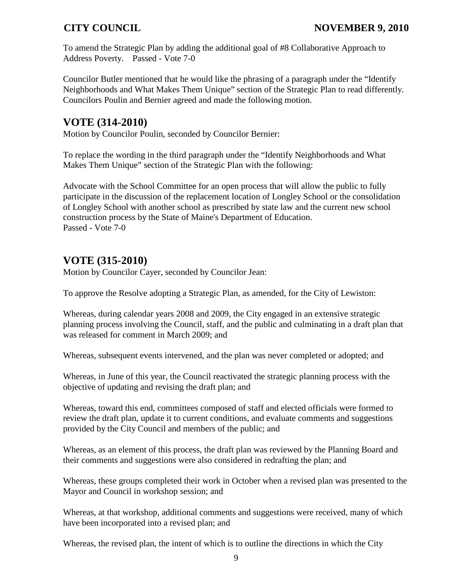To amend the Strategic Plan by adding the additional goal of #8 Collaborative Approach to Address Poverty. Passed - Vote 7-0

Councilor Butler mentioned that he would like the phrasing of a paragraph under the "Identify Neighborhoods and What Makes Them Unique" section of the Strategic Plan to read differently. Councilors Poulin and Bernier agreed and made the following motion.

## **VOTE (314-2010)**

Motion by Councilor Poulin, seconded by Councilor Bernier:

To replace the wording in the third paragraph under the "Identify Neighborhoods and What Makes Them Unique" section of the Strategic Plan with the following:

Advocate with the School Committee for an open process that will allow the public to fully participate in the discussion of the replacement location of Longley School or the consolidation of Longley School with another school as prescribed by state law and the current new school construction process by the State of Maine's Department of Education. Passed - Vote 7-0

# **VOTE (315-2010)**

Motion by Councilor Cayer, seconded by Councilor Jean:

To approve the Resolve adopting a Strategic Plan, as amended, for the City of Lewiston:

Whereas, during calendar years 2008 and 2009, the City engaged in an extensive strategic planning process involving the Council, staff, and the public and culminating in a draft plan that was released for comment in March 2009; and

Whereas, subsequent events intervened, and the plan was never completed or adopted; and

Whereas, in June of this year, the Council reactivated the strategic planning process with the objective of updating and revising the draft plan; and

Whereas, toward this end, committees composed of staff and elected officials were formed to review the draft plan, update it to current conditions, and evaluate comments and suggestions provided by the City Council and members of the public; and

Whereas, as an element of this process, the draft plan was reviewed by the Planning Board and their comments and suggestions were also considered in redrafting the plan; and

Whereas, these groups completed their work in October when a revised plan was presented to the Mayor and Council in workshop session; and

Whereas, at that workshop, additional comments and suggestions were received, many of which have been incorporated into a revised plan; and

Whereas, the revised plan, the intent of which is to outline the directions in which the City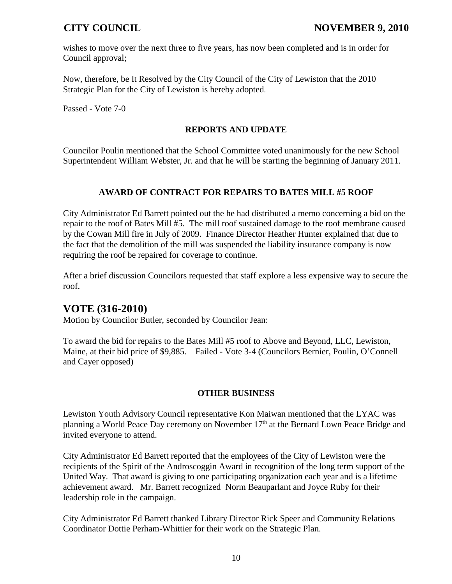wishes to move over the next three to five years, has now been completed and is in order for Council approval;

Now, therefore, be It Resolved by the City Council of the City of Lewiston that the 2010 Strategic Plan for the City of Lewiston is hereby adopted.

Passed - Vote 7-0

### **REPORTS AND UPDATE**

Councilor Poulin mentioned that the School Committee voted unanimously for the new School Superintendent William Webster, Jr. and that he will be starting the beginning of January 2011.

### **AWARD OF CONTRACT FOR REPAIRS TO BATES MILL #5 ROOF**

City Administrator Ed Barrett pointed out the he had distributed a memo concerning a bid on the repair to the roof of Bates Mill #5. The mill roof sustained damage to the roof membrane caused by the Cowan Mill fire in July of 2009. Finance Director Heather Hunter explained that due to the fact that the demolition of the mill was suspended the liability insurance company is now requiring the roof be repaired for coverage to continue.

After a brief discussion Councilors requested that staff explore a less expensive way to secure the roof.

## **VOTE (316-2010)**

Motion by Councilor Butler, seconded by Councilor Jean:

To award the bid for repairs to the Bates Mill #5 roof to Above and Beyond, LLC, Lewiston, Maine, at their bid price of \$9,885. Failed - Vote 3-4 (Councilors Bernier, Poulin, O'Connell and Cayer opposed)

## **OTHER BUSINESS**

Lewiston Youth Advisory Council representative Kon Maiwan mentioned that the LYAC was planning a World Peace Day ceremony on November 17<sup>th</sup> at the Bernard Lown Peace Bridge and invited everyone to attend.

City Administrator Ed Barrett reported that the employees of the City of Lewiston were the recipients of the Spirit of the Androscoggin Award in recognition of the long term support of the United Way. That award is giving to one participating organization each year and is a lifetime achievement award. Mr. Barrett recognized Norm Beauparlant and Joyce Ruby for their leadership role in the campaign.

City Administrator Ed Barrett thanked Library Director Rick Speer and Community Relations Coordinator Dottie Perham-Whittier for their work on the Strategic Plan.